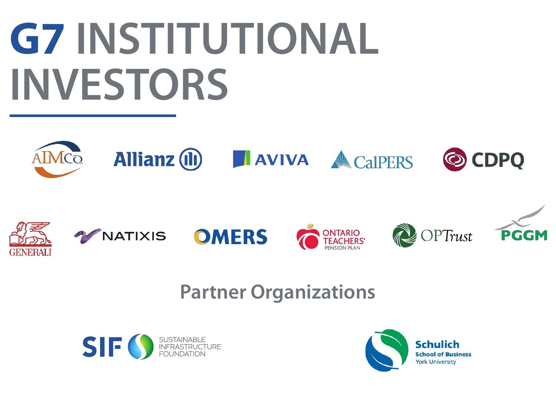# **G7 INSTITUTIONAL INVESTORS**



## **Partner Organizations**



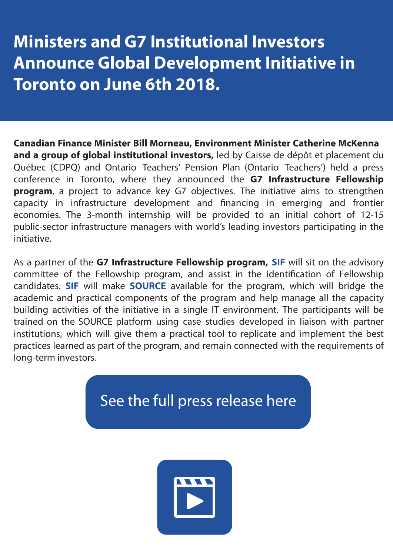## **Ministers and G7 Institutional Investors Announce Global Development Initiative in Toronto on June 6th 2018.**

**Canadian Finance Minister Bill Morneau, Environment Minister Catherine McKenna and a group of global institutional investors,** led by Caisse de dépôt et placement du Québec (CDPQ) and Ontario Teachers' Pension Plan (Ontario Teachers') held a press conference in Toronto, where they announced the **G7 Infrastructure Fellowship program**, a project to advance key G7 objectives. The initiative aims to strengthen capacity in infrastructure development and financing in emerging and frontier economies. The 3-month internship will be provided to an initial cohort of 12-15 public-sector infrastructure managers with world's leading investors participating in the initiative.

As a partner of the **G7 Infrastructure Fellowship program, SIF** will sit on the advisory committee of the Fellowship program, and assist in the identification of Fellowship candidates. **SIF** will make **SOURCE** available for the program, which will bridge the academic and practical components of the program and help manage all the capacity building activities of the initiative in a single IT environment. The participants will be trained on the SOURCE platform using case studies developed in liaison with partner institutions, which will give them a practical tool to replicate and implement the best practices learned as part of the program, and remain connected with the requirements of long-term investors.

## See the full press release here

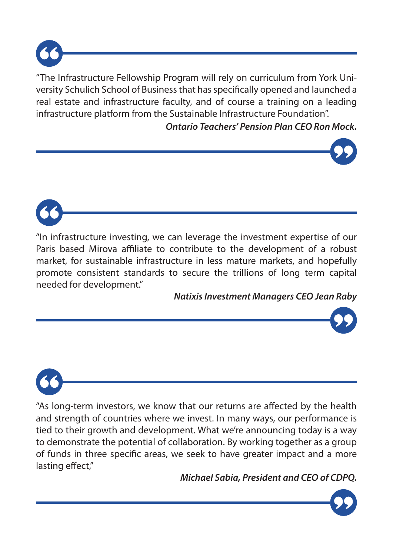

"The Infrastructure Fellowship Program will rely on curriculum from York University Schulich School of Business that has specifically opened and launched a real estate and infrastructure faculty, and of course a training on a leading infrastructure platform from the Sustainable Infrastructure Foundation".

*Ontario Teachers' Pension Plan CEO Ron Mock.*





*Natixis Investment Managers CEO Jean Raby*



"As long-term investors, we know that our returns are affected by the health and strength of countries where we invest. In many ways, our performance is tied to their growth and development. What we're announcing today is a way to demonstrate the potential of collaboration. By working together as a group of funds in three specific areas, we seek to have greater impact and a more lasting effect,"

*Michael Sabia, President and CEO of CDPQ.*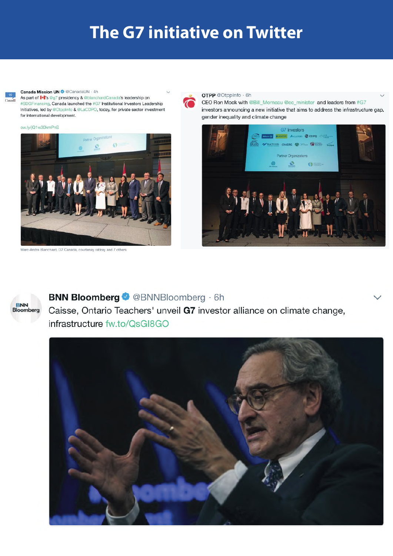## **The G7 initiative on Twitter**

#### **Canada Mission UN @ @CanadaUN . 4h**

As part of  $\blacktriangleright$ 's @g7 presidency & @blanchardCanada's leadership on #SDGFinancing, Canada launched the #G7 Institutional Investors Leadership Initiatives, led by @OtppInfo & @LaCDPQ, today, for private sector investment for international development.





Marc-Andre Blanchard, G7 Canada, courtenay rattray and 7 others

#### OTPP @OtppInfo · 6h

CEO Ron Mock with @Bill Morneau @ec minister and leaders from #G7 investors announcing a new initiative that aims to address the infrastructure gap, gender inequality and climate change





### **BNN Bloomberg © @BNNBloomberg · 6h**

Caisse, Ontario Teachers' unveil G7 investor alliance on climate change, infrastructure fw.to/QsGI8GO

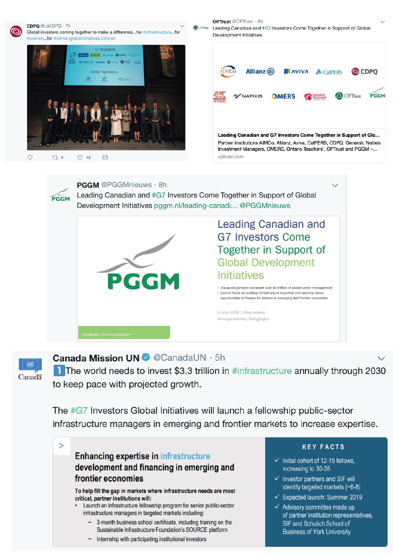

#### CDPQ @LaCDPQ · 7h

Global investors coming together to make a difference...for #infrastructure...for #women...for #climat iglobalinitiatives.com/en





OPTrust @OPTrust - 8h





### **Canada Mission UN** @ CanadaUN · 5h

The world needs to invest \$3.3 trillion in #infrastructure annually through 2030 to keep pace with projected growth.

The #G7 Investors Global Initiatives will launch a fellowship public-sector infrastructure managers in emerging and frontier markets to increase expertise.